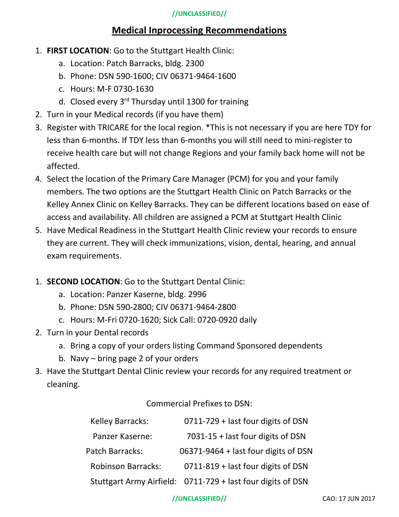## **//UNCLASSIFIED//**

# **Medical Inprocessing Recommendations**

- 1. **FIRST LOCATION**: Go to the Stuttgart Health Clinic:
	- a. Location: Patch Barracks, bldg. 2300
	- b. Phone: DSN 590-1600; CIV 06371-9464-1600
	- c. Hours: M-F 0730-1630
	- d. Closed every 3<sup>rd</sup> Thursday until 1300 for training
- 2. Turn in your Medical records (if you have them)
- 3. Register with TRICARE for the local region. \*This is not necessary if you are here TDY for less than 6-months. If TDY less than 6-months you will still need to mini-register to receive health care but will not change Regions and your family back home will not be affected.
- 4. Select the location of the Primary Care Manager (PCM) for you and your family members. The two options are the Stuttgart Health Clinic on Patch Barracks or the Kelley Annex Clinic on Kelley Barracks. They can be different locations based on ease of access and availability. All children are assigned a PCM at Stuttgart Health Clinic
- 5. Have Medical Readiness in the Stuttgart Health Clinic review your records to ensure they are current. They will check immunizations, vision, dental, hearing, and annual exam requirements.
- 1. **SECOND LOCATION**: Go to the Stuttgart Dental Clinic:
	- a. Location: Panzer Kaserne, bldg. 2996
	- b. Phone: DSN 590-2800; CIV 06371-9464-2800
	- c. Hours: M-Fri 0720-1620; Sick Call: 0720-0920 daily
- 2. Turn in your Dental records
	- a. Bring a copy of your orders listing Command Sponsored dependents
	- b. Navy bring page 2 of your orders
- 3. Have the Stuttgart Dental Clinic review your records for any required treatment or cleaning.

Commercial Prefixes to DSN:

| <b>Kelley Barracks:</b>   | 0711-729 + last four digits of DSN                          |
|---------------------------|-------------------------------------------------------------|
| Panzer Kaserne:           | 7031-15 + last four digits of DSN                           |
| Patch Barracks:           | 06371-9464 + last four digits of DSN                        |
| <b>Robinson Barracks:</b> | 0711-819 + last four digits of DSN                          |
|                           | Stuttgart Army Airfield: 0711-729 + last four digits of DSN |

## **//UNCLASSIFIED//** CAO: 17 JUN 2017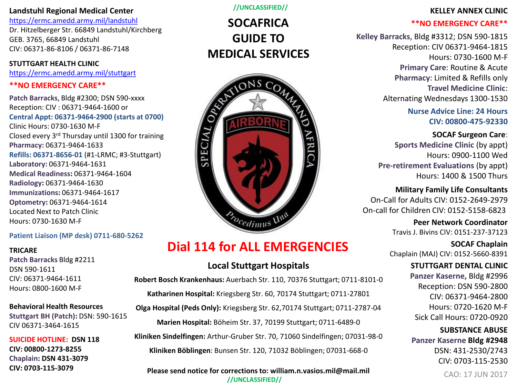#### **Landstuhl Regional Medical Center**

<https://ermc.amedd.army.mil/landstuhl> Dr. Hitzelberger Str. 66849 Landstuhl/Kirchberg GEB. 3765, 66849 Landstuhl CIV: 06371-86-8106 / 06371-86-7148

**STUTTGART HEALTH CLINIC** <https://ermc.amedd.army.mil/stuttgart>

#### **\*\*NO EMERGENCY CARE\*\***

**Patch Barracks**, Bldg #2300; DSN 590-xxxx Reception: CIV : 06371-9464-1600 or **Central Appt: 06371-9464-2900 (starts at 0700)** Clinic Hours: 0730-1630 M-F Closed every 3rd Thursday until 1300 for training **Pharmacy:** 06371-9464-1633 **Refills: 06371-8656-01** (#1-LRMC; #3-Stuttgart) **Laboratory:** 06371-9464-1631 **Medical Readiness:** 06371-9464-1604 **Radiology:** 06371-9464-1630 **Immunizations:** 06371-9464-1617 **Optometry:** 06371-9464-1614 Located Next to Patch Clinic Hours: 0730-1630 M-F

#### **Patient Liaison (MP desk) 0711-680-5262**

#### **TRICARE**

**Patch Barracks** Bldg #2211 DSN 590-1611 CIV: 06371-9464-1611 Hours: 0800-1600 M-F

#### **Behavioral Health Resources Stuttgart BH (Patch):** DSN: 590-1615

CIV 06371-3464-1615

**SUICIDE HOTLINE: DSN 118 CIV: 00800-1273-8255 Chaplain: DSN 431-3079 CIV: 0703-115-3079**

**//UNCLASSIFIED//**

# **SOCAFRICA GUIDE TO MEDICAL SERVICES**



# **Dial 114 for ALL EMERGENCIES**

## **Local Stuttgart Hospitals**

**Robert Bosch Krankenhaus:** Auerbach Str. 110, 70376 Stuttgart; 0711-8101-0 **Katharinen Hospital:** Kriegsberg Str. 60, 70174 Stuttgart; 0711-27801 **Olga Hospital (Peds Only):** Kriegsberg Str. 62,70174 Stuttgart; 0711-2787-04 **Marien Hospital:** Böheim Str. 37, 70199 Stuttgart; 0711-6489-0 **Kliniken Sindelfingen:** Arthur-Gruber Str. 70, 71060 Sindelfingen; 07031-98-0 **Kliniken Böblingen**: Bunsen Str. 120, 71032 Böblingen; 07031-668-0

#### **Please send notice for corrections to: william.n.vasios.mil@mail.mil //UNCLASSIFIED//**

#### **KELLEY ANNEX CLINIC**

#### **\*\*NO EMERGENCY CARE\*\***

**Kelley Barracks**, Bldg #3312; DSN 590-1815 Reception: CIV 06371-9464-1815 Hours: 0730-1600 M-F **Primary Care**: Routine & Acute **Pharmacy**: Limited & Refills only **Travel Medicine Clinic**: Alternating Wednesdays 1300-1530

> **Nurse Advice Line: 24 Hours CIV: 00800-475-92330**

> > **SOCAF Surgeon Care**:

**Sports Medicine Clinic** (by appt) Hours: 0900-1100 Wed **Pre-retirement Evaluations** (by appt) Hours: 1400 & 1500 Thurs

**Military Family Life Consultants** On-Call for Adults CIV: 0152-2649-2979 On-call for Children CIV: 0152-5158-6823

> **Peer Network Coordinator** Travis J. Bivins CIV: 0151-237-37123

**SOCAF Chaplain** Chaplain (MAJ) CIV: 0152-5660-8391

> **STUTTGART DENTAL CLINIC Panzer Kaserne,** Bldg #2996 Reception: DSN 590-2800 CIV: 06371-9464-2800 Hours: 0720-1620 M-F Sick Call Hours: 0720-0920

> **SUBSTANCE ABUSE Panzer Kaserne Bldg #2948** DSN: 431-2530/2743 CIV: 0703-115-2530

CAO: 17 JUN 2017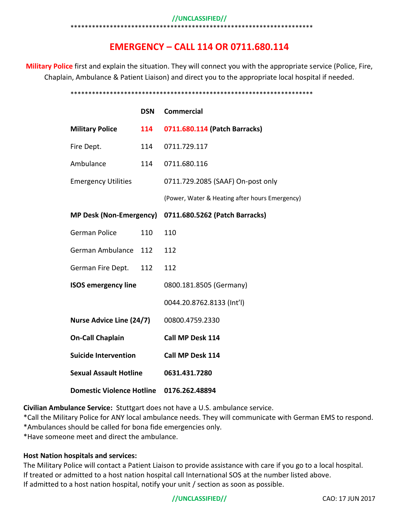#### **//UNCLASSIFIED//**

#### \*\*\*\*\*\*\*\*\*\*\*\*\*\*\*\*\*\*\*\*\*\*\*\*\*\*\*

# **EMERGENCY – CALL 114 OR 0711.680.114**

**Military Police** first and explain the situation. They will connect you with the appropriate service (Police, Fire, Chaplain, Ambulance & Patient Liaison) and direct you to the appropriate local hospital if needed.

#### \*\*\*\*\*\*\*\*\*\*\*\*\*\*\*\*\*\*\*\*\*\*\*\*\*\*\*\*\*\*\*\*\*\*\*\*\*\*\*\*\*\*\*\*\*\*\*\*\*\*\*\*\*\*\*\*\*\*\*\*\*\*\*\*\*\*\*\*

|                                  | <b>DSN</b> | <b>Commercial</b>                              |
|----------------------------------|------------|------------------------------------------------|
| <b>Military Police</b>           | 114        | 0711.680.114 (Patch Barracks)                  |
| Fire Dept.                       | 114        | 0711.729.117                                   |
| Ambulance                        | 114        | 0711.680.116                                   |
| <b>Emergency Utilities</b>       |            | 0711.729.2085 (SAAF) On-post only              |
|                                  |            | (Power, Water & Heating after hours Emergency) |
| <b>MP Desk (Non-Emergency)</b>   |            | 0711.680.5262 (Patch Barracks)                 |
| <b>German Police</b>             | 110        | 110                                            |
| German Ambulance 112             |            | 112                                            |
| German Fire Dept.                | 112        | 112                                            |
| <b>ISOS emergency line</b>       |            | 0800.181.8505 (Germany)                        |
|                                  |            | 0044.20.8762.8133 (Int'l)                      |
| <b>Nurse Advice Line (24/7)</b>  |            | 00800.4759.2330                                |
| <b>On-Call Chaplain</b>          |            | Call MP Desk 114                               |
| <b>Suicide Intervention</b>      |            | Call MP Desk 114                               |
| <b>Sexual Assault Hotline</b>    |            | 0631.431.7280                                  |
| <b>Domestic Violence Hotline</b> |            | 0176.262.48894                                 |

**Civilian Ambulance Service:** Stuttgart does not have a U.S. ambulance service.

\*Call the Military Police for ANY local ambulance needs. They will communicate with German EMS to respond. \*Ambulances should be called for bona fide emergencies only.

\*Have someone meet and direct the ambulance.

#### **Host Nation hospitals and services:**

The Military Police will contact a Patient Liaison to provide assistance with care if you go to a local hospital. If treated or admitted to a host nation hospital call International SOS at the number listed above. If admitted to a host nation hospital, notify your unit / section as soon as possible.